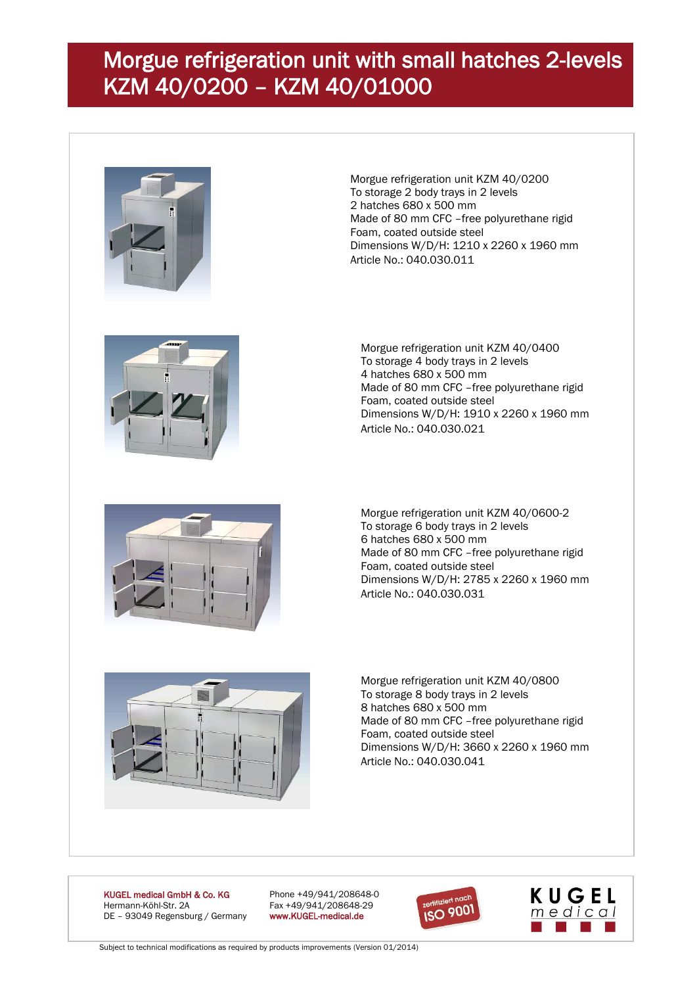## Morgue refrigeration unit with small hatches 2-levels KZM 40/0200 – KZM 40/01000



Morgue refrigeration unit KZM 40/0200 To storage 2 body trays in 2 levels 2 hatches 680 x 500 mm Made of 80 mm CFC –free polyurethane rigid Foam, coated outside steel Dimensions W/D/H: 1210 x 2260 x 1960 mm Article No.: 040.030.011



Morgue refrigeration unit KZM 40/0400 To storage 4 body trays in 2 levels 4 hatches 680 x 500 mm Made of 80 mm CFC –free polyurethane rigid Foam, coated outside steel Dimensions W/D/H: 1910 x 2260 x 1960 mm Article No.: 040.030.021



Morgue refrigeration unit KZM 40/0600-2 To storage 6 body trays in 2 levels 6 hatches 680 x 500 mm Made of 80 mm CFC –free polyurethane rigid Foam, coated outside steel Dimensions W/D/H: 2785 x 2260 x 1960 mm Article No.: 040.030.031



Morgue refrigeration unit KZM 40/0800 To storage 8 body trays in 2 levels 8 hatches 680 x 500 mm Made of 80 mm CFC –free polyurethane rigid Foam, coated outside steel Dimensions W/D/H: 3660 x 2260 x 1960 mm Article No.: 040.030.041

KUGEL medical GmbH & Co. KG Phone +49/941/208648-0 Hermann-Köhl-Str. 2A Fax +49/941/208648-29<br>DE - 93049 Regensburg / Germany www.KUGEL-medical.de DE - 93049 Regensburg / Germany





Subject to technical modifications as required by products improvements (Version 01/2014)